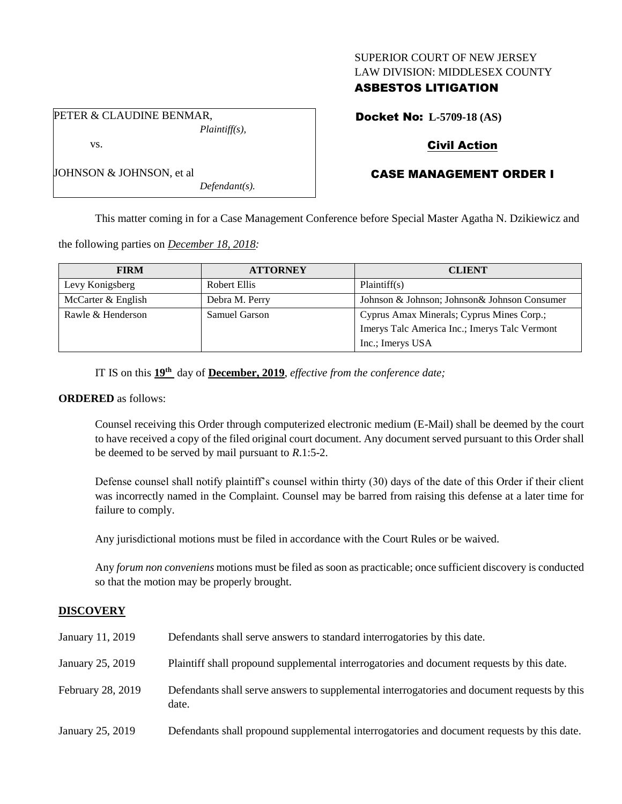## SUPERIOR COURT OF NEW JERSEY LAW DIVISION: MIDDLESEX COUNTY

# ASBESTOS LITIGATION

Docket No: **L-5709-18 (AS)**

# Civil Action

# CASE MANAGEMENT ORDER I

This matter coming in for a Case Management Conference before Special Master Agatha N. Dzikiewicz and

the following parties on *December 18, 2018:*

| <b>FIRM</b>        | <b>ATTORNEY</b> | <b>CLIENT</b>                                 |
|--------------------|-----------------|-----------------------------------------------|
| Levy Konigsberg    | Robert Ellis    | Plaintiff(s)                                  |
| McCarter & English | Debra M. Perry  | Johnson & Johnson; Johnson & Johnson Consumer |
| Rawle & Henderson  | Samuel Garson   | Cyprus Amax Minerals; Cyprus Mines Corp.;     |
|                    |                 | Imerys Talc America Inc.; Imerys Talc Vermont |
|                    |                 | Inc.; Imerys USA                              |

IT IS on this **19th** day of **December, 2019**, *effective from the conference date;*

*Defendant(s).*

#### **ORDERED** as follows:

Counsel receiving this Order through computerized electronic medium (E-Mail) shall be deemed by the court to have received a copy of the filed original court document. Any document served pursuant to this Order shall be deemed to be served by mail pursuant to *R*.1:5-2.

Defense counsel shall notify plaintiff's counsel within thirty (30) days of the date of this Order if their client was incorrectly named in the Complaint. Counsel may be barred from raising this defense at a later time for failure to comply.

Any jurisdictional motions must be filed in accordance with the Court Rules or be waived.

Any *forum non conveniens* motions must be filed as soon as practicable; once sufficient discovery is conducted so that the motion may be properly brought.

## **DISCOVERY**

| January 11, 2019  | Defendants shall serve answers to standard interrogatories by this date.                              |
|-------------------|-------------------------------------------------------------------------------------------------------|
| January 25, 2019  | Plaintiff shall propound supplemental interrogatories and document requests by this date.             |
| February 28, 2019 | Defendants shall serve answers to supplemental interrogatories and document requests by this<br>date. |
| January 25, 2019  | Defendants shall propound supplemental interrogatories and document requests by this date.            |

PETER & CLAUDINE BENMAR, *Plaintiff(s),* vs.

| JOHNSON & JOHNSON, et al |  |  |
|--------------------------|--|--|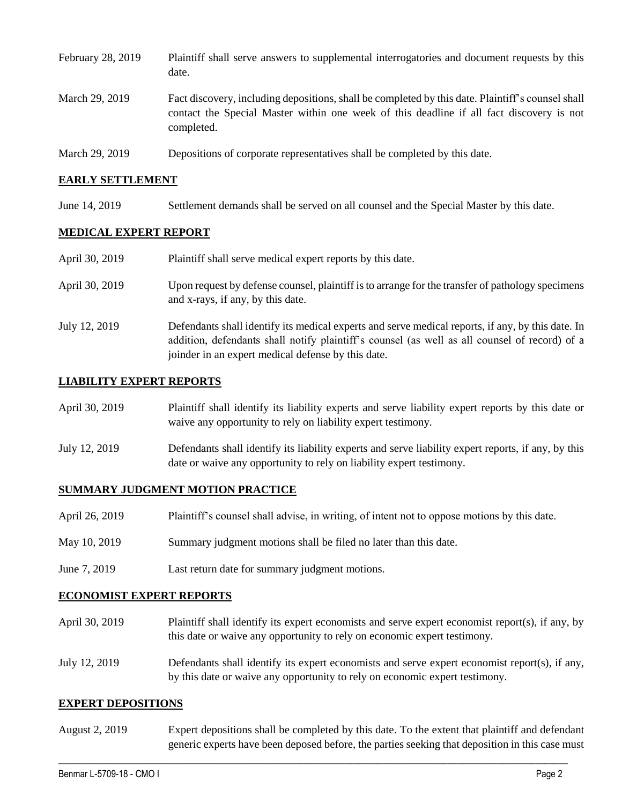| February 28, 2019 | Plaintiff shall serve answers to supplemental interrogatories and document requests by this<br>date.                                                                                                        |
|-------------------|-------------------------------------------------------------------------------------------------------------------------------------------------------------------------------------------------------------|
| March 29, 2019    | Fact discovery, including depositions, shall be completed by this date. Plaintiff's counsel shall<br>contact the Special Master within one week of this deadline if all fact discovery is not<br>completed. |
| March 29, 2019    | Depositions of corporate representatives shall be completed by this date.                                                                                                                                   |

#### **EARLY SETTLEMENT**

June 14, 2019 Settlement demands shall be served on all counsel and the Special Master by this date.

#### **MEDICAL EXPERT REPORT**

| April 30, 2019 | Plaintiff shall serve medical expert reports by this date.                                                                                                                                                                                               |
|----------------|----------------------------------------------------------------------------------------------------------------------------------------------------------------------------------------------------------------------------------------------------------|
| April 30, 2019 | Upon request by defense counsel, plaintiff is to arrange for the transfer of pathology specimens<br>and x-rays, if any, by this date.                                                                                                                    |
| July 12, 2019  | Defendants shall identify its medical experts and serve medical reports, if any, by this date. In<br>addition, defendants shall notify plaintiff's counsel (as well as all counsel of record) of a<br>joinder in an expert medical defense by this date. |

#### **LIABILITY EXPERT REPORTS**

| April 30, 2019 | Plaintiff shall identify its liability experts and serve liability expert reports by this date or<br>waive any opportunity to rely on liability expert testimony.           |
|----------------|-----------------------------------------------------------------------------------------------------------------------------------------------------------------------------|
| July 12, 2019  | Defendants shall identify its liability experts and serve liability expert reports, if any, by this<br>date or waive any opportunity to rely on liability expert testimony. |

#### **SUMMARY JUDGMENT MOTION PRACTICE**

| April 26, 2019 | Plaintiff's counsel shall advise, in writing, of intent not to oppose motions by this date. |
|----------------|---------------------------------------------------------------------------------------------|
| May 10, 2019   | Summary judgment motions shall be filed no later than this date.                            |
| June 7, 2019   | Last return date for summary judgment motions.                                              |

#### **ECONOMIST EXPERT REPORTS**

April 30, 2019 Plaintiff shall identify its expert economists and serve expert economist report(s), if any, by this date or waive any opportunity to rely on economic expert testimony. July 12, 2019 Defendants shall identify its expert economists and serve expert economist report(s), if any,

# by this date or waive any opportunity to rely on economic expert testimony.

## **EXPERT DEPOSITIONS**

August 2, 2019 Expert depositions shall be completed by this date. To the extent that plaintiff and defendant generic experts have been deposed before, the parties seeking that deposition in this case must

 $\_$  ,  $\_$  ,  $\_$  ,  $\_$  ,  $\_$  ,  $\_$  ,  $\_$  ,  $\_$  ,  $\_$  ,  $\_$  ,  $\_$  ,  $\_$  ,  $\_$  ,  $\_$  ,  $\_$  ,  $\_$  ,  $\_$  ,  $\_$  ,  $\_$  ,  $\_$  ,  $\_$  ,  $\_$  ,  $\_$  ,  $\_$  ,  $\_$  ,  $\_$  ,  $\_$  ,  $\_$  ,  $\_$  ,  $\_$  ,  $\_$  ,  $\_$  ,  $\_$  ,  $\_$  ,  $\_$  ,  $\_$  ,  $\_$  ,